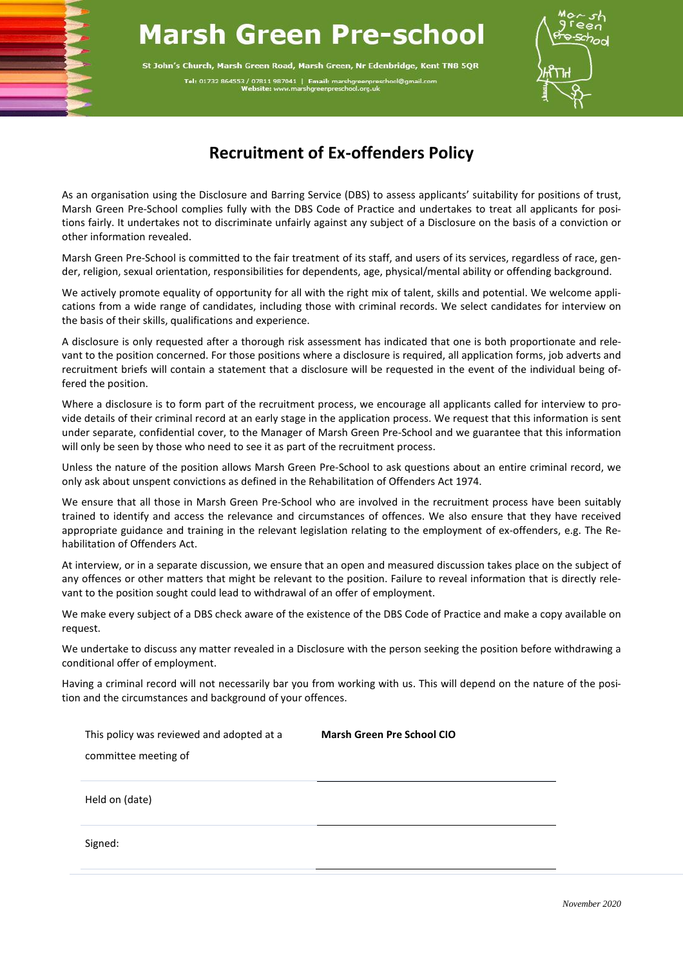## **Marsh Green Pre-school**

St John's Church, Marsh Green Road, Marsh Green, Nr Edenbridge, Kent TN8 5QR Tel: 01732 864553 / 07811 987041 | Email: marshgreenpre<br>Website: www.marshgreenpreschool.org.uk



## **Recruitment of Ex-offenders Policy**

As an organisation using the Disclosure and Barring Service (DBS) to assess applicants' suitability for positions of trust, Marsh Green Pre-School complies fully with the DBS Code of Practice and undertakes to treat all applicants for positions fairly. It undertakes not to discriminate unfairly against any subject of a Disclosure on the basis of a conviction or other information revealed.

Marsh Green Pre-School is committed to the fair treatment of its staff, and users of its services, regardless of race, gender, religion, sexual orientation, responsibilities for dependents, age, physical/mental ability or offending background.

We actively promote equality of opportunity for all with the right mix of talent, skills and potential. We welcome applications from a wide range of candidates, including those with criminal records. We select candidates for interview on the basis of their skills, qualifications and experience.

A disclosure is only requested after a thorough risk assessment has indicated that one is both proportionate and relevant to the position concerned. For those positions where a disclosure is required, all application forms, job adverts and recruitment briefs will contain a statement that a disclosure will be requested in the event of the individual being offered the position.

Where a disclosure is to form part of the recruitment process, we encourage all applicants called for interview to provide details of their criminal record at an early stage in the application process. We request that this information is sent under separate, confidential cover, to the Manager of Marsh Green Pre-School and we guarantee that this information will only be seen by those who need to see it as part of the recruitment process.

Unless the nature of the position allows Marsh Green Pre-School to ask questions about an entire criminal record, we only ask about unspent convictions as defined in the Rehabilitation of Offenders Act 1974.

We ensure that all those in Marsh Green Pre-School who are involved in the recruitment process have been suitably trained to identify and access the relevance and circumstances of offences. We also ensure that they have received appropriate guidance and training in the relevant legislation relating to the employment of ex-offenders, e.g. The Rehabilitation of Offenders Act.

At interview, or in a separate discussion, we ensure that an open and measured discussion takes place on the subject of any offences or other matters that might be relevant to the position. Failure to reveal information that is directly relevant to the position sought could lead to withdrawal of an offer of employment.

We make every subject of a DBS check aware of the existence of the DBS Code of Practice and make a copy available on request.

We undertake to discuss any matter revealed in a Disclosure with the person seeking the position before withdrawing a conditional offer of employment.

Having a criminal record will not necessarily bar you from working with us. This will depend on the nature of the position and the circumstances and background of your offences.

| This policy was reviewed and adopted at a | <b>Marsh Green Pre School CIO</b> |
|-------------------------------------------|-----------------------------------|
| committee meeting of                      |                                   |
|                                           |                                   |
| Held on (date)                            |                                   |
| Signed:                                   |                                   |